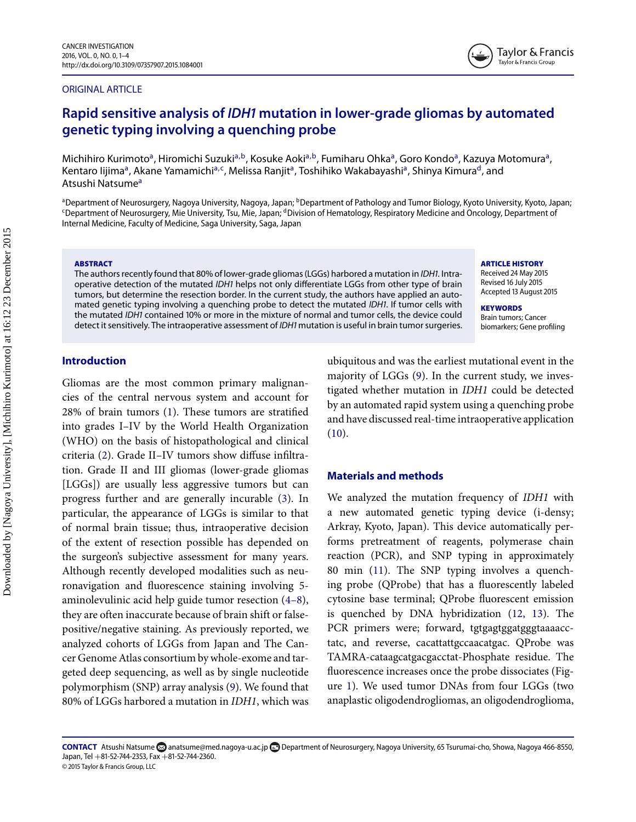#### ORIGINAL ARTICLE



# **Rapid sensitive analysis of** *IDH* **mutation in lower-grade gliomas by automated genetic typing involving a quenching probe**

Michihiro Kurimoto<sup>a</sup>, Hiromichi Suzuki<sup>[a,](#page-0-0)b</sup>, Kosuke Aoki<sup>a,b</sup>, Fumiharu Ohka<sup>a</sup>, Goro Kondo<sup>a</sup>, Kazuya Motomura<sup>a</sup>, Kentaro lijima<sup>a</sup>, Akane Yamami[c](#page-0-2)hi<sup>[a,](#page-0-0)c</sup>, Melissa Ranjit<sup>a</sup>, Toshihiko Wakabayashi<sup>a</sup>, Shinya Kimura<sup>d</sup>, and Atsushi Natsume<sup>a</sup>

<span id="page-0-2"></span><span id="page-0-0"></span><sup>a</sup>Department of Neurosurgery, Nagoya University, Nagoya, Japan; <sup>b</sup>Department of Pathology and Tumor Biology, Kyoto University, Kyoto, Japan; <sup>c</sup>Department of Neurosurgery, Mie University, Tsu, Mie, Japan; <sup>d</sup>Division of Hematology, Respiratory Medicine and Oncology, Department of Internal Medicine, Faculty of Medicine, Saga University, Saga, Japan

#### **ABSTRACT**

The authors recently found that 80% of lower-grade gliomas (LGGs) harbored a mutation in IDH1. Intraoperative detection of the mutated IDH1 helps not only differentiate LGGs from other type of brain tumors, but determine the resection border. In the current study, the authors have applied an automated genetic typing involving a quenching probe to detect the mutated IDH1. If tumor cells with the mutated IDH1 contained 10% or more in the mixture of normal and tumor cells, the device could detect it sensitively. The intraoperative assessment of IDH1 mutation is useful in brain tumor surgeries.

#### **ARTICLE HISTORY**

Received 24 May 2015 Revised 16 July 2015 Accepted 13 August 2015

**KEYWORDS** Brain tumors; Cancer biomarkers; Gene profiling

# **Introduction**

Gliomas are the most common primary malignancies of the central nervous system and account for 28% of brain tumors [\(1\)](#page-3-0). These tumors are stratified into grades I–IV by the World Health Organization (WHO) on the basis of histopathological and clinical criteria [\(2\)](#page-3-1). Grade II–IV tumors show diffuse infiltration. Grade II and III gliomas (lower-grade gliomas [LGGs]) are usually less aggressive tumors but can progress further and are generally incurable [\(3\)](#page-3-2). In particular, the appearance of LGGs is similar to that of normal brain tissue; thus, intraoperative decision of the extent of resection possible has depended on the surgeon's subjective assessment for many years. Although recently developed modalities such as neuronavigation and fluorescence staining involving 5 aminolevulinic acid help guide tumor resection [\(4–8\)](#page-3-3), they are often inaccurate because of brain shift or falsepositive/negative staining. As previously reported, we analyzed cohorts of LGGs from Japan and The Cancer Genome Atlas consortium by whole-exome and targeted deep sequencing, as well as by single nucleotide polymorphism (SNP) array analysis [\(9\)](#page-3-4). We found that 80% of LGGs harbored a mutation in *IDH1*, which was <span id="page-0-3"></span><span id="page-0-1"></span>ubiquitous and was the earliest mutational event in the majority of LGGs [\(9\)](#page-3-4). In the current study, we investigated whether mutation in *IDH1* could be detected by an automated rapid system using a quenching probe and have discussed real-time intraoperative application [\(10\)](#page-3-5).

### **Materials and methods**

We analyzed the mutation frequency of *IDH1* with a new automated genetic typing device (i-densy; Arkray, Kyoto, Japan). This device automatically performs pretreatment of reagents, polymerase chain reaction (PCR), and SNP typing in approximately 80 min [\(11\)](#page-3-6). The SNP typing involves a quenching probe (QProbe) that has a fluorescently labeled cytosine base terminal; QProbe fluorescent emission is quenched by DNA hybridization [\(12, 13\)](#page-3-7). The PCR primers were; forward, tgtgagtggatgggtaaaacctatc, and reverse, cacattattgccaacatgac. QProbe was TAMRA-cataagcatgacgacctat-Phosphate residue. The fluorescence increases once the probe dissociates (Figure [1\)](#page-1-0)[.](#page-1-1) W[e](#page-2-0) used tumor DNAs from four LGGs (two anaplastic oligodendrogliomas, an oligodendroglioma,

CONTACT Atsushi Natsume [anatsume@med.nagoya-u.ac.jp](mailto:anatsume@med.nagoya-u.ac.jp) **D** Department of Neurosurgery, Nagoya University, 65 Tsurumai-cho, Showa, Nagoya 466-8550, Japan, Tel  $+81-52-744-2353$ , Fax  $+81-52-744-2360$ . © 2015 Taylor & Francis Group, LLC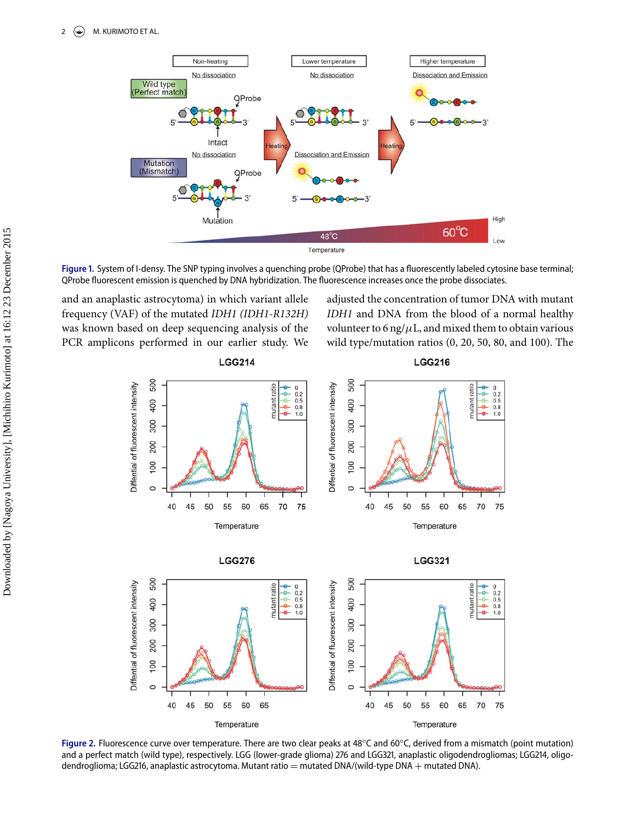<span id="page-1-0"></span>

Figure 1. System of I-densy. The SNP typing involves a quenching probe (QProbe) that has a fluorescently labeled cytosine base terminal; QProbe fluorescent emission is quenched by DNA hybridization. The fluorescence increases once the probe dissociates.

and an anaplastic astrocytoma) in which variant allele frequency (VAF) of the mutated *IDH1 (IDH1-R132H)* was known based on deep sequencing analysis of the PCR amplicons performed in our earlier study. We adjusted the concentration of tumor DNA with mutant *IDH1* and DNA from the blood of a normal healthy volunteer to 6 ng/ $\mu$ L, and mixed them to obtain various wild type/mutation ratios (0, 20, 50, 80, and 100). The

<span id="page-1-1"></span>







Figure 2. Fluorescence curve over temperature. There are two clear peaks at 48°C and 60°C, derived from a mismatch (point mutation) and a perfect match (wild type), respectively. LGG (lower-grade glioma) 276 and LGG321, anaplastic oligodendrogliomas; LGG214, oligodendroglioma; LGG216, anaplastic astrocytoma. Mutant ratio = mutated DNA/(wild-type DNA + mutated DNA).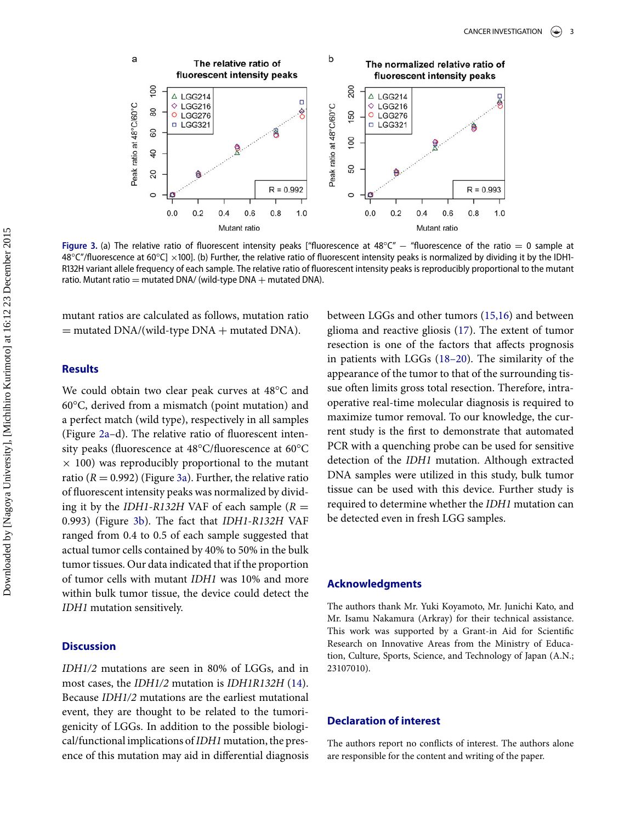<span id="page-2-0"></span>

Figure 3. (a) The relative ratio of fluorescent intensity peaks ["fluorescence at 48°C" – "fluorescence of the ratio = 0 sample at 48°C"/fluorescence at 60°C] ×100]. (b) Further, the relative ratio of fluorescent intensity peaks is normalized by dividing it by the IDH1-R132H variant allele frequency of each sample. The relative ratio of fluorescent intensity peaks is reproducibly proportional to the mutant ratio. Mutant ratio = mutated DNA/ (wild-type DNA  $+$  mutated DNA).

mutant ratios are calculated as follows, mutation ratio  $=$  mutated DNA/(wild-type DNA  $+$  mutated DNA).

# **Results**

We could obtain two clear peak curves at 48°C and 60°C, derived from a mismatch (point mutation) and a perfect match (wild type), respectively in all samples (Figure [2a–](#page-1-1)d). The relative ratio of fluorescent intensity peaks (fluorescence at 48°C/fluorescence at 60°C  $\times$  100) was reproducibly proportional to the mutant ratio  $(R = 0.992)$  (Figure [3a\)](#page-2-0). Further, the relative ratio of fluorescent intensity peaks was normalized by dividing it by the *IDH1-R132H* VAF of each sample  $(R =$ 0.993) (Figure [3b\)](#page-2-0). The fact that *IDH1-R132H* VAF ranged from 0.4 to 0.5 of each sample suggested that actual tumor cells contained by 40% to 50% in the bulk tumor tissues. Our data indicated that if the proportion of tumor cells with mutant *IDH1* was 10% and more within bulk tumor tissue, the device could detect the *IDH1* mutation sensitively.

## **Discussion**

*IDH1/2* mutations are seen in 80% of LGGs, and in most cases, the *IDH1/2* mutation is *IDH1R132H* [\(14\)](#page-3-8). Because *IDH1/2* mutations are the earliest mutational event, they are thought to be related to the tumorigenicity of LGGs. In addition to the possible biological/functional implications of*IDH1* mutation, the presence of this mutation may aid in differential diagnosis between LGGs and other tumors [\(15,16\)](#page-3-9) and between glioma and reactive gliosis [\(17\)](#page-3-10). The extent of tumor resection is one of the factors that affects prognosis in patients with LGGs [\(18–20\)](#page-3-11). The similarity of the appearance of the tumor to that of the surrounding tissue often limits gross total resection. Therefore, intraoperative real-time molecular diagnosis is required to maximize tumor removal. To our knowledge, the current study is the first to demonstrate that automated PCR with a quenching probe can be used for sensitive detection of the *IDH1* mutation. Although extracted DNA samples were utilized in this study, bulk tumor tissue can be used with this device. Further study is required to determine whether the *IDH1* mutation can be detected even in fresh LGG samples.

#### **Acknowledgments**

The authors thank Mr. Yuki Koyamoto, Mr. Junichi Kato, and Mr. Isamu Nakamura (Arkray) for their technical assistance. This work was supported by a Grant-in Aid for Scientific Research on Innovative Areas from the Ministry of Education, Culture, Sports, Science, and Technology of Japan (A.N.; 23107010).

#### **Declaration of interest**

The authors report no conflicts of interest. The authors alone are responsible for the content and writing of the paper.